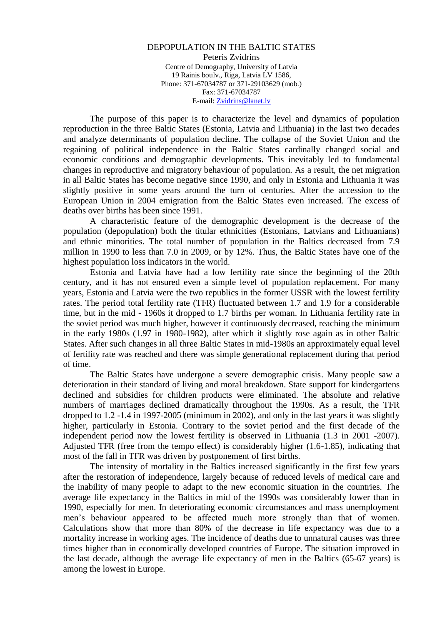#### DEPOPULATION IN THE BALTIC STATES Peteris Zvidrins Centre of Demography, University of Latvia 19 Rainis boulv., Riga, Latvia LV 1586, Phone: 371-67034787 or 371-29103629 (mob.) Fax: 371-67034787 E-mail[: Zvidrins@lanet.lv](mailto:Zvidrins@lanet.lv)

The purpose of this paper is to characterize the level and dynamics of population reproduction in the three Baltic States (Estonia, Latvia and Lithuania) in the last two decades and analyze determinants of population decline. The collapse of the Soviet Union and the regaining of political independence in the Baltic States cardinally changed social and economic conditions and demographic developments. This inevitably led to fundamental changes in reproductive and migratory behaviour of population. As a result, the net migration in all Baltic States has become negative since 1990, and only in Estonia and Lithuania it was slightly positive in some years around the turn of centuries. After the accession to the European Union in 2004 emigration from the Baltic States even increased. The excess of deaths over births has been since 1991.

A characteristic feature of the demographic development is the decrease of the population (depopulation) both the titular ethnicities (Estonians, Latvians and Lithuanians) and ethnic minorities. The total number of population in the Baltics decreased from 7.9 million in 1990 to less than 7.0 in 2009, or by 12%. Thus, the Baltic States have one of the highest population loss indicators in the world.

Estonia and Latvia have had a low fertility rate since the beginning of the 20th century, and it has not ensured even a simple level of population replacement. For many years, Estonia and Latvia were the two republics in the former USSR with the lowest fertility rates. The period total fertility rate (TFR) fluctuated between 1.7 and 1.9 for a considerable time, but in the mid - 1960s it dropped to 1.7 births per woman. In Lithuania fertility rate in the soviet period was much higher, however it continuously decreased, reaching the minimum in the early 1980s (1.97 in 1980-1982), after which it slightly rose again as in other Baltic States. After such changes in all three Baltic States in mid-1980s an approximately equal level of fertility rate was reached and there was simple generational replacement during that period of time.

The Baltic States have undergone a severe demographic crisis. Many people saw a deterioration in their standard of living and moral breakdown. State support for kindergartens declined and subsidies for children products were eliminated. The absolute and relative numbers of marriages declined dramatically throughout the 1990s. As a result, the TFR dropped to 1.2 -1.4 in 1997-2005 (minimum in 2002), and only in the last years it was slightly higher, particularly in Estonia. Contrary to the soviet period and the first decade of the independent period now the lowest fertility is observed in Lithuania (1.3 in 2001 -2007). Adjusted TFR (free from the tempo effect) is considerably higher (1.6-1.85), indicating that most of the fall in TFR was driven by postponement of first births.

The intensity of mortality in the Baltics increased significantly in the first few years after the restoration of independence, largely because of reduced levels of medical care and the inability of many people to adapt to the new economic situation in the countries. The average life expectancy in the Baltics in mid of the 1990s was considerably lower than in 1990, especially for men. In deteriorating economic circumstances and mass unemployment men's behaviour appeared to be affected much more strongly than that of women. Calculations show that more than 80% of the decrease in life expectancy was due to a mortality increase in working ages. The incidence of deaths due to unnatural causes was three times higher than in economically developed countries of Europe. The situation improved in the last decade, although the average life expectancy of men in the Baltics (65-67 years) is among the lowest in Europe.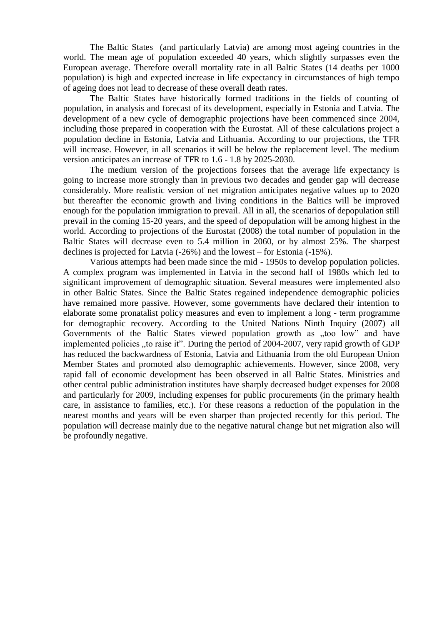The Baltic States (and particularly Latvia) are among most ageing countries in the world. The mean age of population exceeded 40 years, which slightly surpasses even the European average. Therefore overall mortality rate in all Baltic States (14 deaths per 1000 population) is high and expected increase in life expectancy in circumstances of high tempo of ageing does not lead to decrease of these overall death rates.

The Baltic States have historically formed traditions in the fields of counting of population, in analysis and forecast of its development, especially in Estonia and Latvia. The development of a new cycle of demographic projections have been commenced since 2004, including those prepared in cooperation with the Eurostat. All of these calculations project a population decline in Estonia, Latvia and Lithuania. According to our projections, the TFR will increase. However, in all scenarios it will be below the replacement level. The medium version anticipates an increase of TFR to 1.6 - 1.8 by 2025-2030.

The medium version of the projections forsees that the average life expectancy is going to increase more strongly than in previous two decades and gender gap will decrease considerably. More realistic version of net migration anticipates negative values up to 2020 but thereafter the economic growth and living conditions in the Baltics will be improved enough for the population immigration to prevail. All in all, the scenarios of depopulation still prevail in the coming 15-20 years, and the speed of depopulation will be among highest in the world. According to projections of the Eurostat (2008) the total number of population in the Baltic States will decrease even to 5.4 million in 2060, or by almost 25%. The sharpest declines is projected for Latvia (-26%) and the lowest – for Estonia (-15%).

Various attempts had been made since the mid - 1950s to develop population policies. A complex program was implemented in Latvia in the second half of 1980s which led to significant improvement of demographic situation. Several measures were implemented also in other Baltic States. Since the Baltic States regained independence demographic policies have remained more passive. However, some governments have declared their intention to elaborate some pronatalist policy measures and even to implement a long - term programme for demographic recovery. According to the United Nations Ninth Inquiry (2007) all Governments of the Baltic States viewed population growth as "too low" and have implemented policies "to raise it". During the period of 2004-2007, very rapid growth of GDP has reduced the backwardness of Estonia, Latvia and Lithuania from the old European Union Member States and promoted also demographic achievements. However, since 2008, very rapid fall of economic development has been observed in all Baltic States. Ministries and other central public administration institutes have sharply decreased budget expenses for 2008 and particularly for 2009, including expenses for public procurements (in the primary health care, in assistance to families, etc.). For these reasons a reduction of the population in the nearest months and years will be even sharper than projected recently for this period. The population will decrease mainly due to the negative natural change but net migration also will be profoundly negative.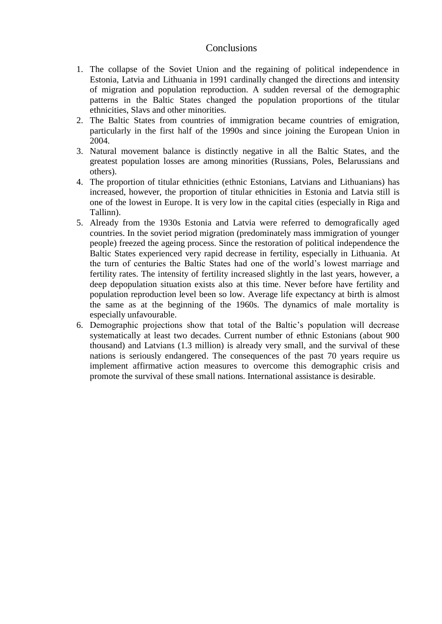#### **Conclusions**

- 1. The collapse of the Soviet Union and the regaining of political independence in Estonia, Latvia and Lithuania in 1991 cardinally changed the directions and intensity of migration and population reproduction. A sudden reversal of the demographic patterns in the Baltic States changed the population proportions of the titular ethnicities, Slavs and other minorities.
- 2. The Baltic States from countries of immigration became countries of emigration, particularly in the first half of the 1990s and since joining the European Union in 2004.
- 3. Natural movement balance is distinctly negative in all the Baltic States, and the greatest population losses are among minorities (Russians, Poles, Belarussians and others).
- 4. The proportion of titular ethnicities (ethnic Estonians, Latvians and Lithuanians) has increased, however, the proportion of titular ethnicities in Estonia and Latvia still is one of the lowest in Europe. It is very low in the capital cities (especially in Riga and Tallinn).
- 5. Already from the 1930s Estonia and Latvia were referred to demografically aged countries. In the soviet period migration (predominately mass immigration of younger people) freezed the ageing process. Since the restoration of political independence the Baltic States experienced very rapid decrease in fertility, especially in Lithuania. At the turn of centuries the Baltic States had one of the world's lowest marriage and fertility rates. The intensity of fertility increased slightly in the last years, however, a deep depopulation situation exists also at this time. Never before have fertility and population reproduction level been so low. Average life expectancy at birth is almost the same as at the beginning of the 1960s. The dynamics of male mortality is especially unfavourable.
- 6. Demographic projections show that total of the Baltic's population will decrease systematically at least two decades. Current number of ethnic Estonians (about 900 thousand) and Latvians (1.3 million) is already very small, and the survival of these nations is seriously endangered. The consequences of the past 70 years require us implement affirmative action measures to overcome this demographic crisis and promote the survival of these small nations. International assistance is desirable.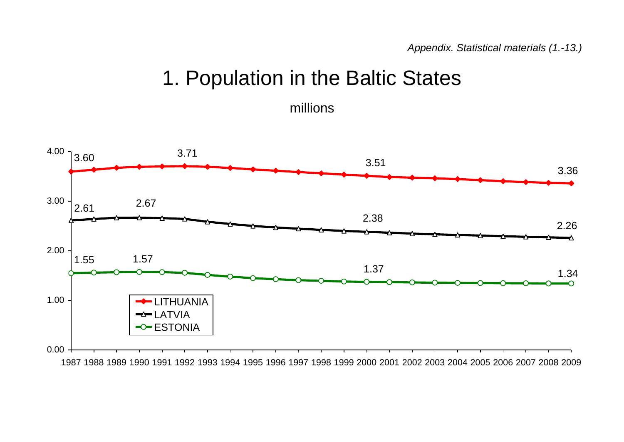## 1. Population in the Baltic States

millions

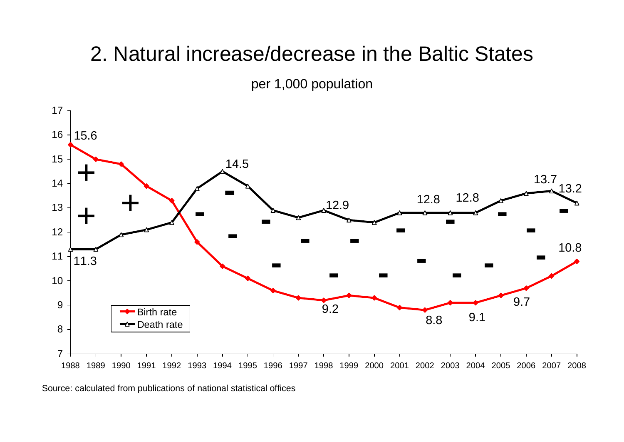## 2. Natural increase/decrease in the Baltic States

per 1,000 population



Source: calculated from publications of national statistical offices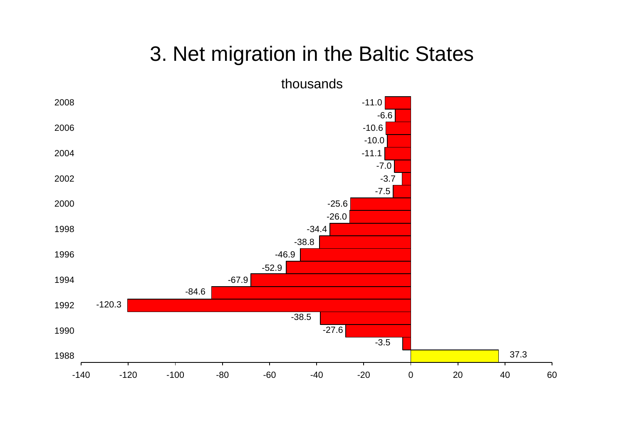## 3. Net migration in the Baltic States

![](_page_5_Figure_1.jpeg)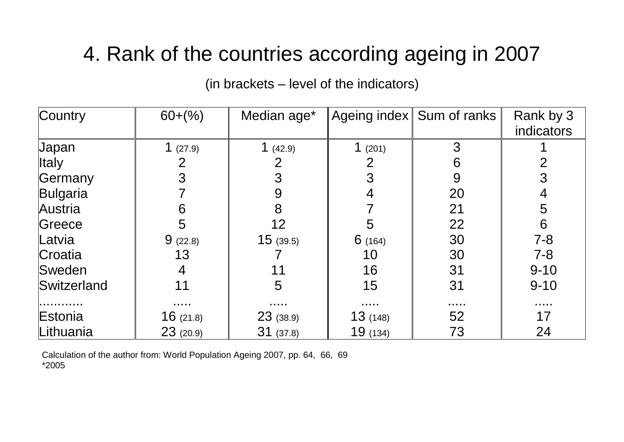# 4. Rank of the countries according ageing in 2007

(in brackets – level of the indicators)

| Country      | $60+(%)$   | Median age* |          | Ageing index   Sum of ranks        | Rank by 3         |
|--------------|------------|-------------|----------|------------------------------------|-------------------|
|              |            |             |          |                                    | <b>indicators</b> |
| <b>Japan</b> | 1 $(27.9)$ | 1 $(42.9)$  | 1(201)   | 3                                  |                   |
| <b>Italy</b> | 2          |             | 2        | 6                                  | 2                 |
| Germany      |            | 3           | 3        | 9                                  | 3                 |
| Bulgaria     |            | 9           | 4        | 20                                 | 4                 |
| Austria      | 6          | 8           |          | 21                                 | 5                 |
| Greece       | 5          | 12          | 5        | 22                                 | 6                 |
| Latvia       | 9(22.8)    | 15(39.5)    | 6(164)   | 30                                 | $7 - 8$           |
| Croatia      | 13         |             | 10       | 30                                 | $7 - 8$           |
| Sweden       | 4          | 11          | 16       | 31                                 | $9 - 10$          |
| Switzerland  | 11         | 5           | 15       | 31                                 | $9 - 10$          |
|              |            | .           | .        | $\sim$ $\sim$ $\sim$ $\sim$ $\sim$ |                   |
| Estonia      | 16(21.8)   | 23(38.9)    | 13(148)  | 52                                 | 17                |
| Lithuania    | 23(20.9)   | 31(37.8)    | 19 (134) | 73                                 | 24                |

Calculation of the author from: World Population Ageing 2007, pp. 64, 66, 69 \*2005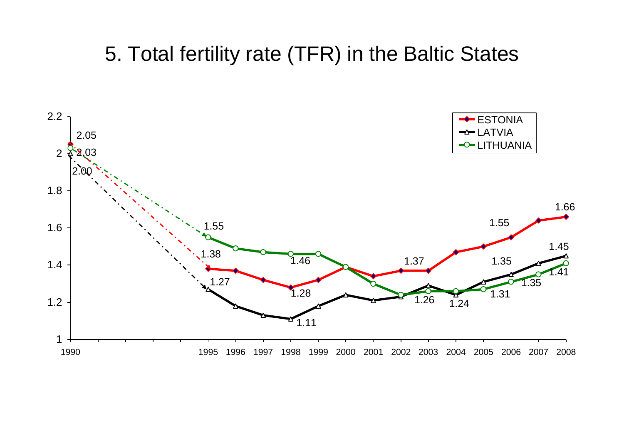## 5. Total fertility rate (TFR) in the Baltic States

![](_page_7_Figure_1.jpeg)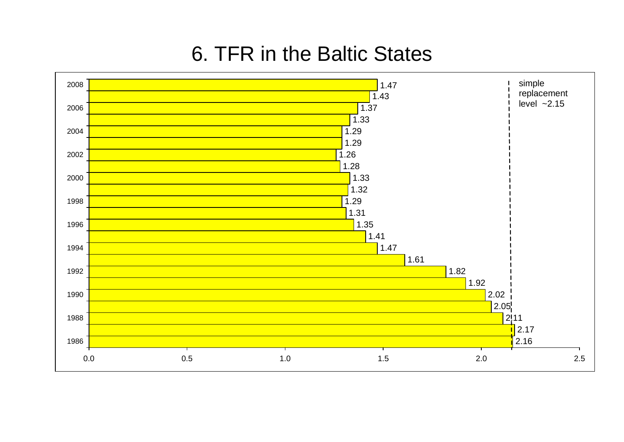## 6. TFR in the Baltic States

![](_page_8_Figure_1.jpeg)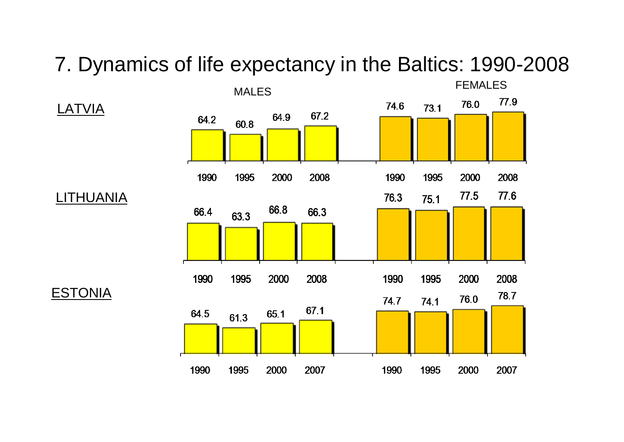## 7. Dynamics of life expectancy in the Baltics: 1990-2008

![](_page_9_Figure_1.jpeg)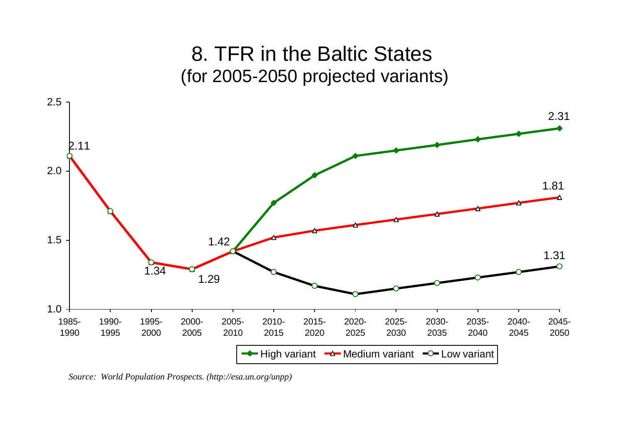![](_page_10_Figure_0.jpeg)

*Source: World Population Prospects. (http://esa.un.org/unpp)*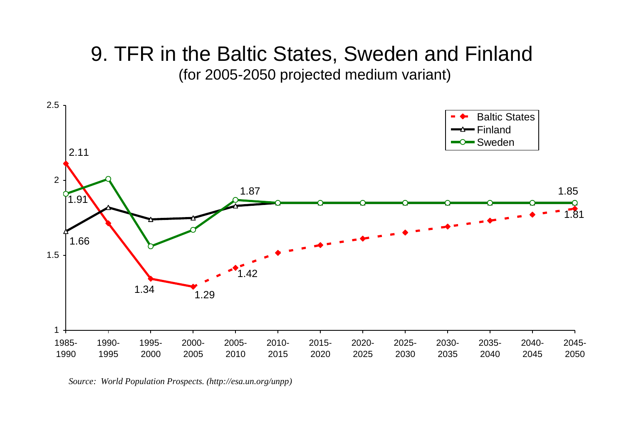# 9. TFR in the Baltic States, Sweden and Finland

(for 2005-2050 projected medium variant)

![](_page_11_Figure_2.jpeg)

*Source: World Population Prospects. (http://esa.un.org/unpp)*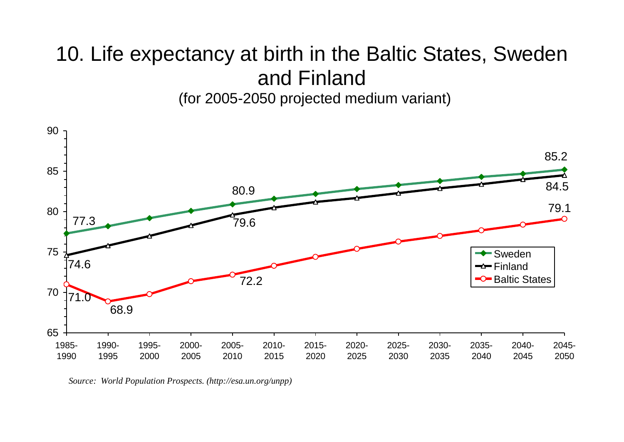### 10. Life expectancy at birth in the Baltic States, Sweden and Finland (for 2005-2050 projected medium variant)

![](_page_12_Figure_1.jpeg)

*Source: World Population Prospects. (http://esa.un.org/unpp)*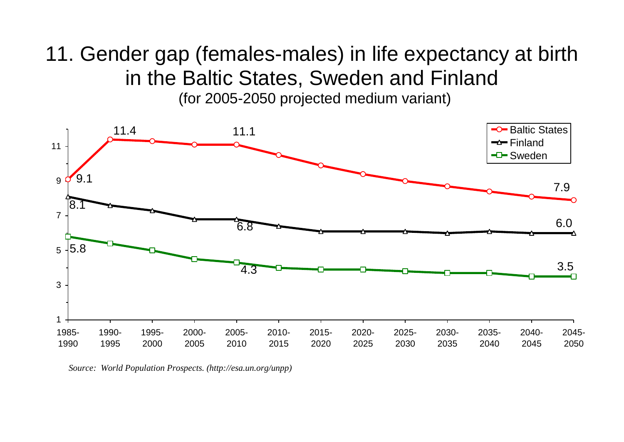# 11. Gender gap (females-males) in life expectancy at birth in the Baltic States, Sweden and Finland

(for 2005-2050 projected medium variant)

![](_page_13_Figure_2.jpeg)

*Source: World Population Prospects. (http://esa.un.org/unpp)*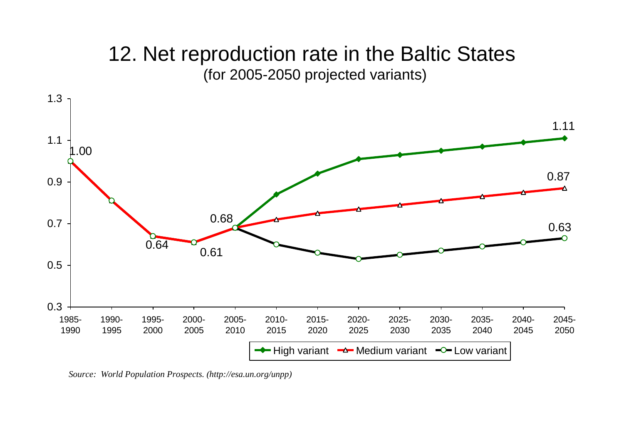### 12. Net reproduction rate in the Baltic States (for 2005-2050 projected variants)

![](_page_14_Figure_1.jpeg)

*Source: World Population Prospects. (http://esa.un.org/unpp)*